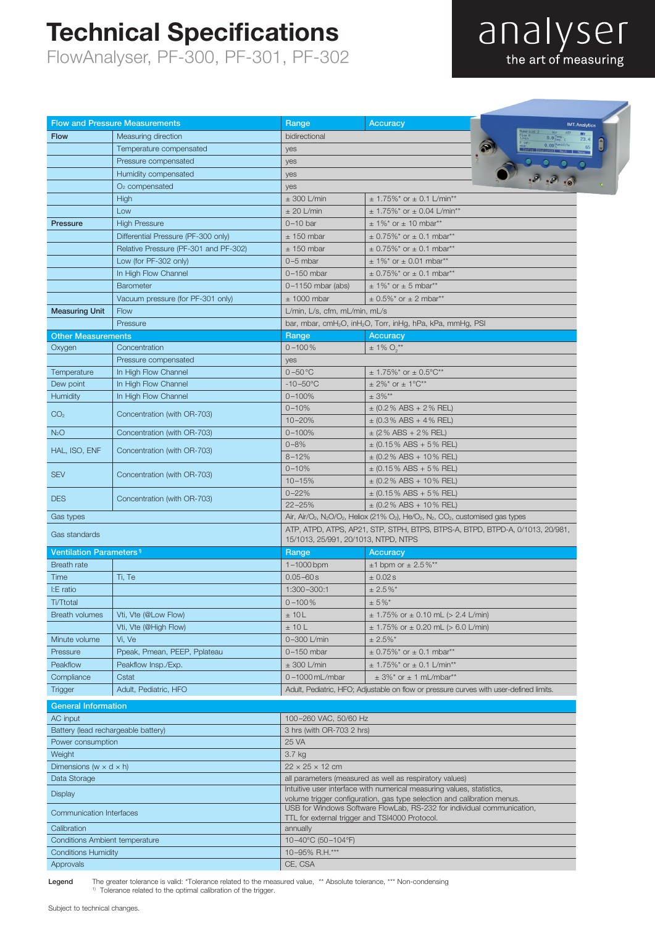### Technical Specifications

FlowAnalyser, PF-300, PF-301, PF-302

# analyser

|                                           | <b>Flow and Pressure Measurements</b> | Range                                                                                                                                                                 | <b>Accuracy</b>                                                                        | <b>IMT. Analytics</b> |
|-------------------------------------------|---------------------------------------|-----------------------------------------------------------------------------------------------------------------------------------------------------------------------|----------------------------------------------------------------------------------------|-----------------------|
| <b>Flow</b>                               | Measuring direction                   | bidirectional                                                                                                                                                         |                                                                                        |                       |
|                                           | Temperature compensated               | yes                                                                                                                                                                   |                                                                                        |                       |
|                                           | Pressure compensated                  | yes                                                                                                                                                                   |                                                                                        |                       |
|                                           | Humidity compensated                  | yes                                                                                                                                                                   |                                                                                        | .9.9.0                |
|                                           | $O2$ compensated                      | yes                                                                                                                                                                   |                                                                                        |                       |
|                                           | <b>High</b>                           | $\pm$ 300 L/min                                                                                                                                                       | $\pm$ 1.75%* or $\pm$ 0.1 L/min**                                                      |                       |
|                                           | Low                                   | $± 20$ L/min                                                                                                                                                          | $\pm$ 1.75%* or $\pm$ 0.04 L/min**                                                     |                       |
| Pressure                                  | <b>High Pressure</b>                  | $0-10$ bar                                                                                                                                                            | $± 1\%$ * or $± 10$ mbar**                                                             |                       |
|                                           | Differential Pressure (PF-300 only)   | $±$ 150 mbar                                                                                                                                                          | $\pm$ 0.75%* or $\pm$ 0.1 mbar**                                                       |                       |
|                                           | Relative Pressure (PF-301 and PF-302) | $±$ 150 mbar                                                                                                                                                          | $\pm$ 0.75%* or $\pm$ 0.1 mbar**                                                       |                       |
|                                           | Low (for PF-302 only)                 | $0-5$ mbar                                                                                                                                                            | $\pm$ 1%* or $\pm$ 0.01 mbar**                                                         |                       |
|                                           | In High Flow Channel                  | $0-150$ mbar                                                                                                                                                          | $\pm$ 0.75%* or $\pm$ 0.1 mbar**                                                       |                       |
|                                           | <b>Barometer</b>                      | $0-1150$ mbar (abs)                                                                                                                                                   | $\pm$ 1%* or $\pm$ 5 mbar**                                                            |                       |
|                                           | Vacuum pressure (for PF-301 only)     | $±$ 1000 mbar                                                                                                                                                         | $\pm$ 0.5%* or $\pm$ 2 mbar**                                                          |                       |
| <b>Measuring Unit</b>                     | Flow                                  | L/min, L/s, cfm, mL/min, mL/s                                                                                                                                         |                                                                                        |                       |
|                                           | Pressure                              | bar, mbar, cmH <sub>2</sub> O, inH <sub>2</sub> O, Torr, inHg, hPa, kPa, mmHg, PSI                                                                                    |                                                                                        |                       |
| <b>Other Measurements</b>                 |                                       | Range                                                                                                                                                                 | <b>Accuracy</b>                                                                        |                       |
| Oxygen                                    | Concentration                         | $0 - 100\%$                                                                                                                                                           | $\pm$ 1% $O_2$ <sup>**</sup>                                                           |                       |
|                                           | Pressure compensated                  | yes                                                                                                                                                                   |                                                                                        |                       |
| Temperature                               | In High Flow Channel                  | $0 - 50$ °C                                                                                                                                                           | $\pm$ 1.75%* or $\pm$ 0.5°C**                                                          |                       |
| Dew point                                 | In High Flow Channel                  | $-10 - 50^{\circ}$ C                                                                                                                                                  | $\pm$ 2%* or $\pm$ 1°C**                                                               |                       |
| Humidity                                  | In High Flow Channel                  | $0 - 100%$                                                                                                                                                            | $± 3%$ **                                                                              |                       |
| CO <sub>2</sub>                           | Concentration (with OR-703)           | $0 - 10%$                                                                                                                                                             | $\pm$ (0.2% ABS + 2% REL)                                                              |                       |
|                                           |                                       | $10 - 20%$                                                                                                                                                            | $\pm$ (0.3% ABS + 4% REL)                                                              |                       |
| N <sub>2</sub> O                          | Concentration (with OR-703)           | $0 - 100%$                                                                                                                                                            | $\pm$ (2 % ABS + 2 % REL)                                                              |                       |
| HAL, ISO, ENF                             | Concentration (with OR-703)           | $0 - 8%$                                                                                                                                                              | $\pm$ (0.15% ABS + 5% REL)                                                             |                       |
|                                           |                                       | $8 - 12%$                                                                                                                                                             | $\pm$ (0.2% ABS + 10% REL)                                                             |                       |
| <b>SEV</b>                                | Concentration (with OR-703)           | $0 - 10%$                                                                                                                                                             | $\pm$ (0.15% ABS + 5% REL)                                                             |                       |
|                                           |                                       | $10 - 15%$                                                                                                                                                            | $\pm$ (0.2% ABS + 10% REL)                                                             |                       |
| <b>DES</b>                                | Concentration (with OR-703)           | $0 - 22%$                                                                                                                                                             | $\pm$ (0.15% ABS + 5% REL)                                                             |                       |
|                                           |                                       | $22 - 25%$                                                                                                                                                            | $\pm$ (0.2% ABS + 10% REL)                                                             |                       |
| Gas types                                 |                                       | Air, Air/O <sub>2</sub> , N <sub>2</sub> O/O <sub>2</sub> , Heliox (21% O <sub>2</sub> ), He/O <sub>2</sub> , N <sub>2</sub> , CO <sub>2</sub> , customised gas types |                                                                                        |                       |
| Gas standards                             |                                       | ATP, ATPD, ATPS, AP21, STP, STPH, BTPS, BTPS-A, BTPD, BTPD-A, 0/1013, 20/981,<br>15/1013, 25/991, 20/1013, NTPD, NTPS                                                 |                                                                                        |                       |
| <b>Ventilation Parameters<sup>1</sup></b> |                                       | Range<br>Accuracy                                                                                                                                                     |                                                                                        |                       |
| Breath rate                               |                                       | $1 - 1000$ bpm                                                                                                                                                        | $±1$ bpm or $± 2.5\%$ **                                                               |                       |
| Time                                      | Ti, Te                                | $0.05 - 60 s$                                                                                                                                                         | $\pm$ 0.02 s                                                                           |                       |
| I:E ratio                                 |                                       | 1:300-300:1                                                                                                                                                           | $± 2.5\%$ <sup>*</sup>                                                                 |                       |
| Ti/Ttotal                                 |                                       | $0 - 100\%$                                                                                                                                                           | $± 5\%$ *                                                                              |                       |
| <b>Breath volumes</b>                     | Vti, Vte (@Low Flow)                  | ±10L                                                                                                                                                                  | $\pm$ 1.75% or $\pm$ 0.10 mL (> 2.4 L/min)                                             |                       |
|                                           | Vti, Vte (@High Flow)                 | ±10L                                                                                                                                                                  | $\pm$ 1.75% or $\pm$ 0.20 mL (> 6.0 L/min)                                             |                       |
| Minute volume                             | Vi, Ve                                | 0-300 L/min                                                                                                                                                           | $± 2.5\%$ <sup>*</sup>                                                                 |                       |
| Pressure                                  | Ppeak, Pmean, PEEP, Pplateau          | $0-150$ mbar                                                                                                                                                          | $\pm$ 0.75%* or $\pm$ 0.1 mbar**                                                       |                       |
| Peakflow                                  |                                       | $\pm$ 300 L/min                                                                                                                                                       |                                                                                        |                       |
| Compliance                                | Peakflow Insp./Exp.                   | $0 - 1000$ mL/mbar                                                                                                                                                    | $\pm$ 1.75%* or $\pm$ 0.1 L/min**<br>$\pm$ 3%* or $\pm$ 1 mL/mbar**                    |                       |
| <b>Trigger</b>                            | Cstat<br>Adult, Pediatric, HFO        |                                                                                                                                                                       | Adult, Pediatric, HFO; Adjustable on flow or pressure curves with user-defined limits. |                       |
|                                           |                                       |                                                                                                                                                                       |                                                                                        |                       |
| <b>General Information</b>                |                                       |                                                                                                                                                                       |                                                                                        |                       |
| AC input                                  |                                       | 100-260 VAC, 50/60 Hz                                                                                                                                                 |                                                                                        |                       |
| Battery (lead rechargeable battery)       |                                       | 3 hrs (with OR-703 2 hrs)                                                                                                                                             |                                                                                        |                       |
| Power consumption                         |                                       | 25 VA                                                                                                                                                                 |                                                                                        |                       |
| Weight                                    |                                       | 3.7 kg                                                                                                                                                                |                                                                                        |                       |
| Dimensions (w $\times$ d $\times$ h)      |                                       | $22 \times 25 \times 12$ cm                                                                                                                                           |                                                                                        |                       |
| Data Storage                              |                                       | all parameters (measured as well as respiratory values)                                                                                                               |                                                                                        |                       |
| <b>Display</b>                            |                                       | Intuitive user interface with numerical measuring values, statistics,<br>volume trigger configuration, gas type selection and calibration menus.                      |                                                                                        |                       |
| <b>Communication Interfaces</b>           |                                       | USB for Windows Software FlowLab, RS-232 for individual communication,                                                                                                |                                                                                        |                       |
|                                           |                                       | TTL for external trigger and TSI4000 Protocol.                                                                                                                        |                                                                                        |                       |
| Calibration                               |                                       | annually                                                                                                                                                              |                                                                                        |                       |
| <b>Conditions Ambient temperature</b>     |                                       | 10-40°C (50-104°F)                                                                                                                                                    |                                                                                        |                       |
| <b>Conditions Humidity</b>                |                                       | 10-95% R.H.***                                                                                                                                                        |                                                                                        |                       |
| Approvals                                 |                                       | CE, CSA                                                                                                                                                               |                                                                                        |                       |

Legend The greater tolerance is valid: \*Tolerance related to the measured value, \*\* Absolute tolerance, \*\*\* Non-condensing 1) Tolerance related to the optimal calibration of the trigger.